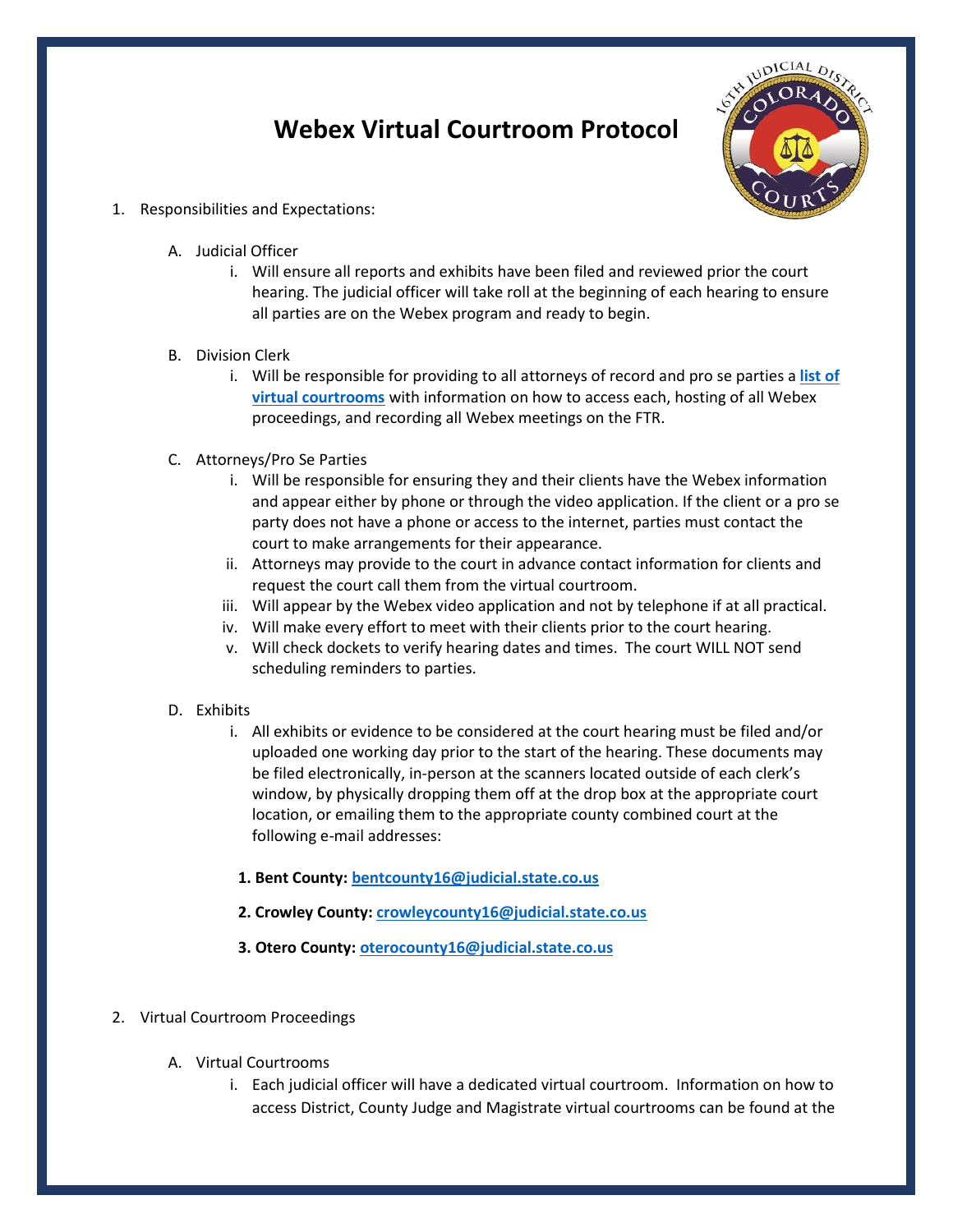## **Webex Virtual Courtroom Protocol**



- 1. Responsibilities and Expectations:
	- A. Judicial Officer
		- i. Will ensure all reports and exhibits have been filed and reviewed prior the court hearing. The judicial officer will take roll at the beginning of each hearing to ensure all parties are on the Webex program and ready to begin.
	- B. Division Clerk
		- i. Will be responsible for providing to all attorneys of record and pro se parties a **[list of](https://www.courts.state.co.us/Courts/District/Custom.cfm?District_ID=16&Page_ID=863)  [virtual courtrooms](https://www.courts.state.co.us/Courts/District/Custom.cfm?District_ID=16&Page_ID=863)** with information on how to access each, hosting of all Webex proceedings, and recording all Webex meetings on the FTR.
	- C. Attorneys/Pro Se Parties
		- i. Will be responsible for ensuring they and their clients have the Webex information and appear either by phone or through the video application. If the client or a pro se party does not have a phone or access to the internet, parties must contact the court to make arrangements for their appearance.
		- ii. Attorneys may provide to the court in advance contact information for clients and request the court call them from the virtual courtroom.
		- iii. Will appear by the Webex video application and not by telephone if at all practical.
		- iv. Will make every effort to meet with their clients prior to the court hearing.
		- v. Will check dockets to verify hearing dates and times. The court WILL NOT send scheduling reminders to parties.
	- D. Exhibits
		- i. All exhibits or evidence to be considered at the court hearing must be filed and/or uploaded one working day prior to the start of the hearing. These documents may be filed electronically, in-person at the scanners located outside of each clerk's window, by physically dropping them off at the drop box at the appropriate court location, or emailing them to the appropriate county combined court at the following e-mail addresses:
			- **1. Bent County: [bentcounty16@judicial.state.co.us](mailto:bentcounty16@judicial.state.co.us)**
			- **2. Crowley County: [crowleycounty16@judicial.state.co.us](mailto:crowleycounty16@judicial.state.co.us)**
			- **3. Otero County: [oterocounty16@judicial.state.co.us](mailto:oterocounty16@judicial.state.co.us)**
- 2. Virtual Courtroom Proceedings
	- A. Virtual Courtrooms
		- i. Each judicial officer will have a dedicated virtual courtroom. Information on how to access District, County Judge and Magistrate virtual courtrooms can be found at the